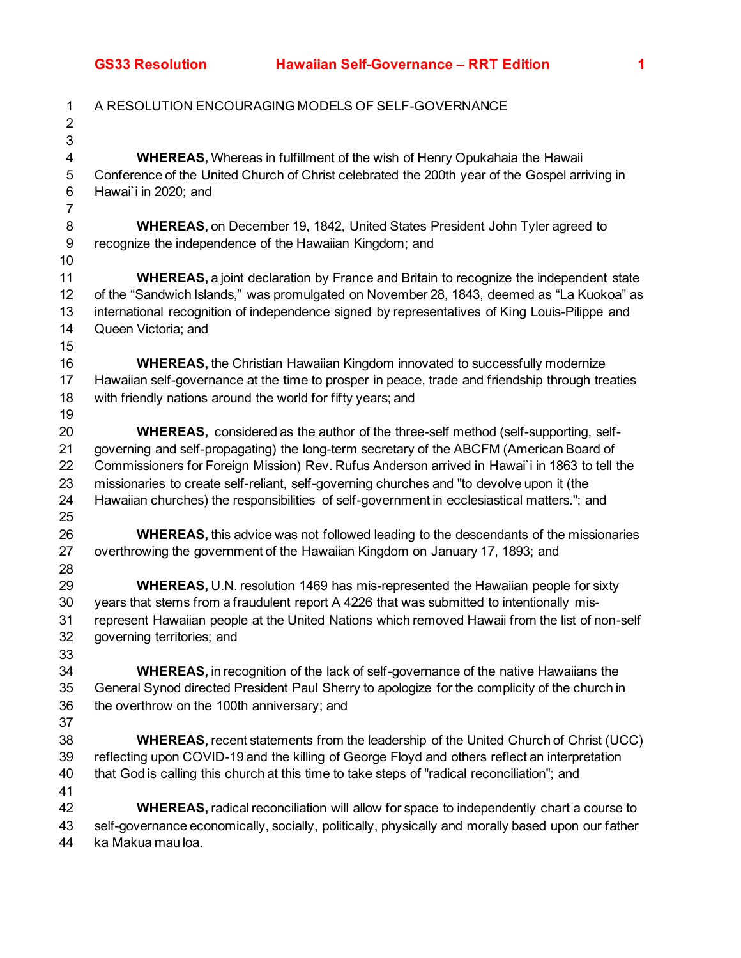| $\ensuremath{\mathsf{3}}$<br><b>WHEREAS, Whereas in fulfillment of the wish of Henry Opukahaia the Hawaii</b><br>4<br>5<br>Conference of the United Church of Christ celebrated the 200th year of the Gospel arriving in<br>6<br>Hawai'i in 2020; and<br>$\overline{7}$<br>8<br>WHEREAS, on December 19, 1842, United States President John Tyler agreed to<br>9<br>recognize the independence of the Hawaiian Kingdom; and<br>10<br>11<br><b>WHEREAS, a joint declaration by France and Britain to recognize the independent state</b><br>of the "Sandwich Islands," was promulgated on November 28, 1843, deemed as "La Kuokoa" as<br>12<br>13<br>international recognition of independence signed by representatives of King Louis-Pilippe and |  |
|---------------------------------------------------------------------------------------------------------------------------------------------------------------------------------------------------------------------------------------------------------------------------------------------------------------------------------------------------------------------------------------------------------------------------------------------------------------------------------------------------------------------------------------------------------------------------------------------------------------------------------------------------------------------------------------------------------------------------------------------------|--|
|                                                                                                                                                                                                                                                                                                                                                                                                                                                                                                                                                                                                                                                                                                                                                   |  |
|                                                                                                                                                                                                                                                                                                                                                                                                                                                                                                                                                                                                                                                                                                                                                   |  |
|                                                                                                                                                                                                                                                                                                                                                                                                                                                                                                                                                                                                                                                                                                                                                   |  |
|                                                                                                                                                                                                                                                                                                                                                                                                                                                                                                                                                                                                                                                                                                                                                   |  |
|                                                                                                                                                                                                                                                                                                                                                                                                                                                                                                                                                                                                                                                                                                                                                   |  |
|                                                                                                                                                                                                                                                                                                                                                                                                                                                                                                                                                                                                                                                                                                                                                   |  |
|                                                                                                                                                                                                                                                                                                                                                                                                                                                                                                                                                                                                                                                                                                                                                   |  |
|                                                                                                                                                                                                                                                                                                                                                                                                                                                                                                                                                                                                                                                                                                                                                   |  |
|                                                                                                                                                                                                                                                                                                                                                                                                                                                                                                                                                                                                                                                                                                                                                   |  |
|                                                                                                                                                                                                                                                                                                                                                                                                                                                                                                                                                                                                                                                                                                                                                   |  |
| 14<br>Queen Victoria; and                                                                                                                                                                                                                                                                                                                                                                                                                                                                                                                                                                                                                                                                                                                         |  |
| 15                                                                                                                                                                                                                                                                                                                                                                                                                                                                                                                                                                                                                                                                                                                                                |  |
| 16<br><b>WHEREAS</b> , the Christian Hawaiian Kingdom innovated to successfully modernize                                                                                                                                                                                                                                                                                                                                                                                                                                                                                                                                                                                                                                                         |  |
| Hawaiian self-governance at the time to prosper in peace, trade and friendship through treaties<br>17                                                                                                                                                                                                                                                                                                                                                                                                                                                                                                                                                                                                                                             |  |
| with friendly nations around the world for fifty years; and<br>18                                                                                                                                                                                                                                                                                                                                                                                                                                                                                                                                                                                                                                                                                 |  |
| 19                                                                                                                                                                                                                                                                                                                                                                                                                                                                                                                                                                                                                                                                                                                                                |  |
| 20<br><b>WHEREAS, considered as the author of the three-self method (self-supporting, self-</b>                                                                                                                                                                                                                                                                                                                                                                                                                                                                                                                                                                                                                                                   |  |
| 21<br>governing and self-propagating) the long-term secretary of the ABCFM (American Board of                                                                                                                                                                                                                                                                                                                                                                                                                                                                                                                                                                                                                                                     |  |
| 22<br>Commissioners for Foreign Mission) Rev. Rufus Anderson arrived in Hawai'i in 1863 to tell the                                                                                                                                                                                                                                                                                                                                                                                                                                                                                                                                                                                                                                               |  |
| 23<br>missionaries to create self-reliant, self-governing churches and "to devolve upon it (the                                                                                                                                                                                                                                                                                                                                                                                                                                                                                                                                                                                                                                                   |  |
| 24<br>Hawaiian churches) the responsibilities of self-government in ecclesiastical matters."; and                                                                                                                                                                                                                                                                                                                                                                                                                                                                                                                                                                                                                                                 |  |
| 25                                                                                                                                                                                                                                                                                                                                                                                                                                                                                                                                                                                                                                                                                                                                                |  |
| 26<br><b>WHEREAS, this advice was not followed leading to the descendants of the missionaries</b>                                                                                                                                                                                                                                                                                                                                                                                                                                                                                                                                                                                                                                                 |  |
| 27<br>overthrowing the government of the Hawaiian Kingdom on January 17, 1893; and                                                                                                                                                                                                                                                                                                                                                                                                                                                                                                                                                                                                                                                                |  |
| 28                                                                                                                                                                                                                                                                                                                                                                                                                                                                                                                                                                                                                                                                                                                                                |  |
| 29<br>WHEREAS, U.N. resolution 1469 has mis-represented the Hawaiian people for sixty                                                                                                                                                                                                                                                                                                                                                                                                                                                                                                                                                                                                                                                             |  |
| 30<br>years that stems from a fraudulent report A 4226 that was submitted to intentionally mis-                                                                                                                                                                                                                                                                                                                                                                                                                                                                                                                                                                                                                                                   |  |
| represent Hawaiian people at the United Nations which removed Hawaii from the list of non-self<br>31                                                                                                                                                                                                                                                                                                                                                                                                                                                                                                                                                                                                                                              |  |
| 32<br>governing territories; and                                                                                                                                                                                                                                                                                                                                                                                                                                                                                                                                                                                                                                                                                                                  |  |
| 33                                                                                                                                                                                                                                                                                                                                                                                                                                                                                                                                                                                                                                                                                                                                                |  |
| 34<br><b>WHEREAS</b> , in recognition of the lack of self-governance of the native Hawaiians the                                                                                                                                                                                                                                                                                                                                                                                                                                                                                                                                                                                                                                                  |  |
| General Synod directed President Paul Sherry to apologize for the complicity of the church in<br>35                                                                                                                                                                                                                                                                                                                                                                                                                                                                                                                                                                                                                                               |  |
| the overthrow on the 100th anniversary; and<br>36                                                                                                                                                                                                                                                                                                                                                                                                                                                                                                                                                                                                                                                                                                 |  |
| 37                                                                                                                                                                                                                                                                                                                                                                                                                                                                                                                                                                                                                                                                                                                                                |  |
| WHEREAS, recent statements from the leadership of the United Church of Christ (UCC)<br>38                                                                                                                                                                                                                                                                                                                                                                                                                                                                                                                                                                                                                                                         |  |
| reflecting upon COVID-19 and the killing of George Floyd and others reflect an interpretation<br>39                                                                                                                                                                                                                                                                                                                                                                                                                                                                                                                                                                                                                                               |  |
| that God is calling this church at this time to take steps of "radical reconciliation"; and<br>40                                                                                                                                                                                                                                                                                                                                                                                                                                                                                                                                                                                                                                                 |  |
| 41                                                                                                                                                                                                                                                                                                                                                                                                                                                                                                                                                                                                                                                                                                                                                |  |
| <b>WHEREAS, radical reconciliation will allow for space to independently chart a course to</b><br>42                                                                                                                                                                                                                                                                                                                                                                                                                                                                                                                                                                                                                                              |  |
| self-governance economically, socially, politically, physically and morally based upon our father<br>43<br>ka Makua mau loa.<br>44                                                                                                                                                                                                                                                                                                                                                                                                                                                                                                                                                                                                                |  |